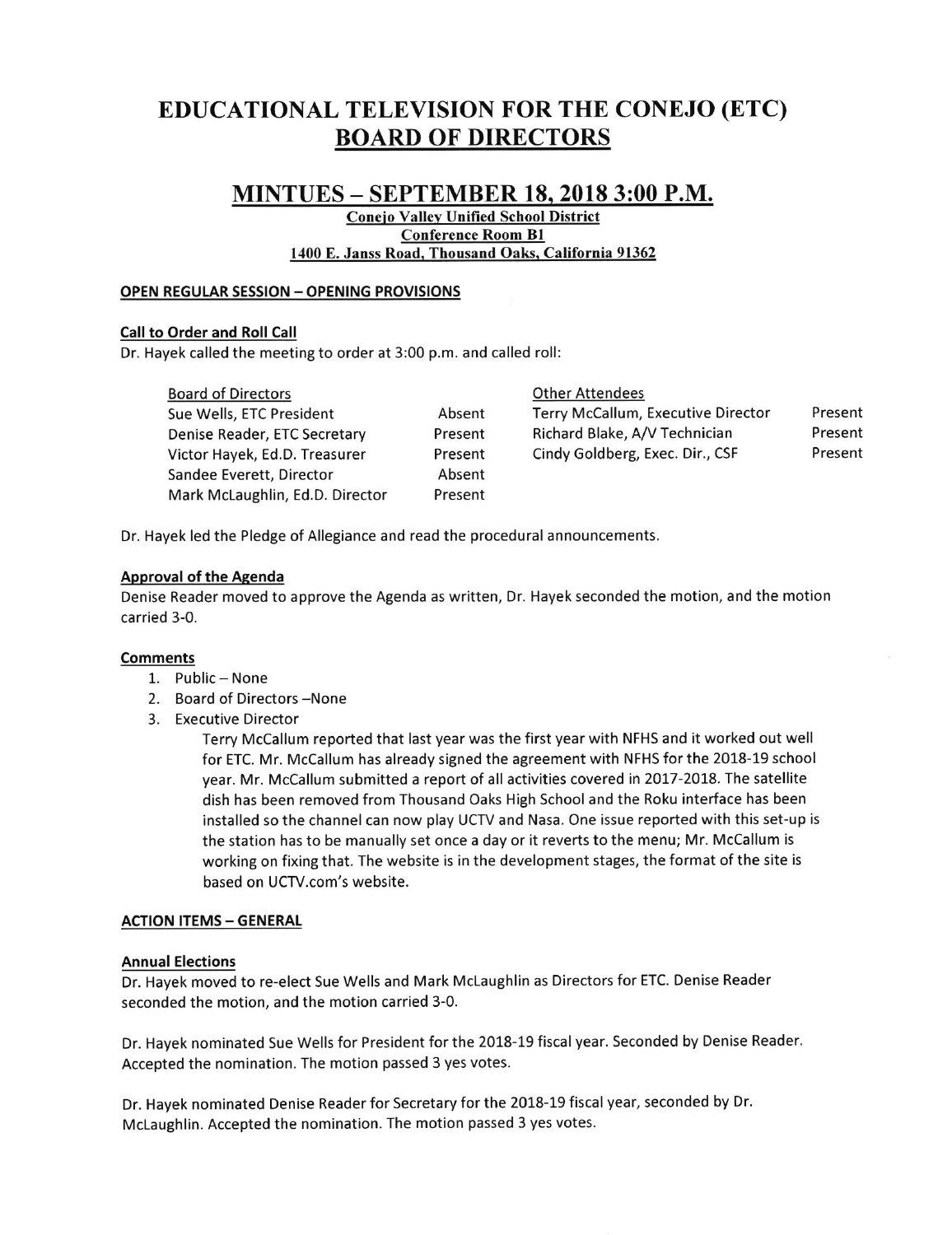# EDUCATIONAL TELEVISION FORTHE CONEJO (ETC) BOARD OF DIRECTORS

# MINTUES - SEPTEMBER 18,2018 3:00 P.M.

Coneio Vallev Unified School District Conference Room Bl 1400 E. Janss Road. Thousand Oaks. California 91362

> Absent Present Present Absent Present

#### OPEN REGULAR SESSION - OPENING PROVISIONS

# Call to Order and Roll Call

Dr. Hayek called the meeting to order at 3:00 p.m. and called roll:

#### Board of Directors **Contact Contact Accord Contact Contact Contact Contact Contact Contact Contact Contact Contact Contact Contact Contact Contact Contact Contact Contact Contact Contact Contact Contact Contact Contact Con**

Sue Wells, ETC President Denise Reader, ETC Secretary Victor Hayek, Ed.D. Treasurer Sandee Everett, Director Mark McLaughlin, Ed.D. Director

| Terry McCallum, Executive Director | Present |
|------------------------------------|---------|
| Richard Blake, A/V Technician      | Present |
| Cindy Goldberg, Exec. Dir., CSF    | Present |
|                                    |         |

Dr. Havek led the Pledge of Allegiance and read the procedural announcements.

# Aoproval of the Agenda

Denise Reader moved to approve the Agenda as written, Dr. Hayek seconded the motion, and the motion carried 3-0.

#### Comments

- 1. Public None
- 2. Board of Directors -None
- 3. Executive Director

Terry Mccallum reported that last year was the first year with NFHS and it worked out well for ETC. Mr. McCallum has already signed the agreement with NFHS for the 2018-19 school year. Mr. Mccallum submitted a report of all activities covered in 2017-2018. The satellite dish has been removed from Thousand Oaks High School and the Roku interface has been installed so the channel can now play UCTV and Nasa. One issue reported with this set-up is the station has to be manually set once a day or it reverts to the menu; Mr. McCallum is working on fixing that. The website is in the development stages, the format of the site is based on UCTV.com's website.

#### **ACTION ITEMS - GENERAL**

#### Annual Elections

Dr. Hayek moved to re-elect Sue Wells and Mark Mclaughlin as Directors for ETC. Denise Reader seconded the motion, and the motion carried 3-0.

Dr. Hayek nominated Sue wells for President for the 2018-19 fiscal year. Seconded by Denise Reader Accepted the nomination. The motion passed 3 yes votes.

Dr. Hayek nominated Denise Reader for Secretary for the 2018-19 fiscal year, seconded by Dr. McLaughlin. Accepted the nomination. The motion passed 3 yes votes.